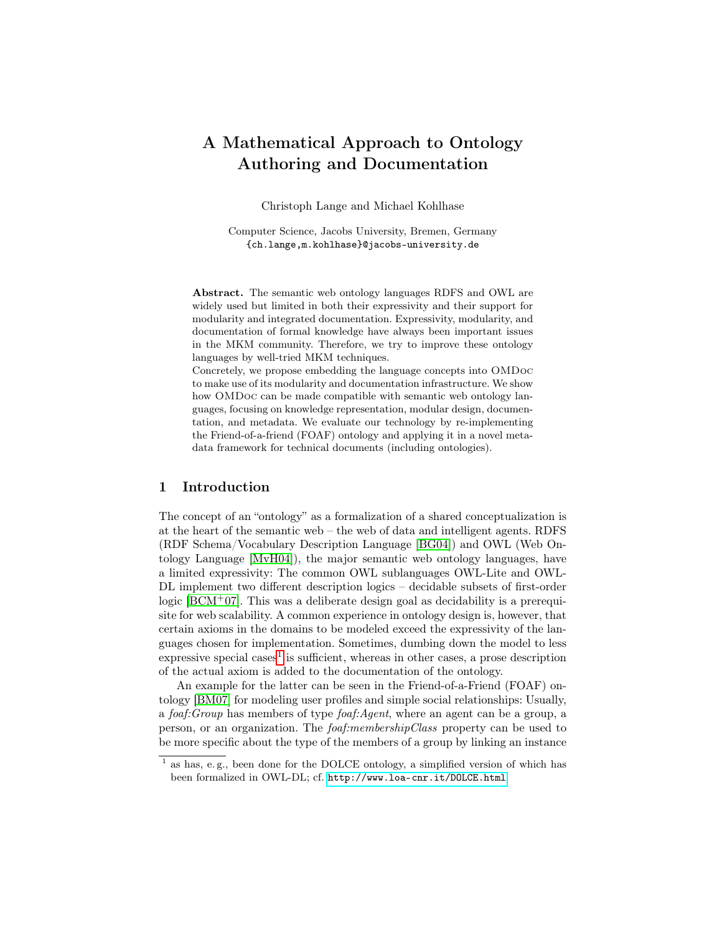# A Mathematical Approach to Ontology Authoring and Documentation

Christoph Lange and Michael Kohlhase

Computer Science, Jacobs University, Bremen, Germany {ch.lange,m.kohlhase}@jacobs-university.de

Abstract. The semantic web ontology languages RDFS and OWL are widely used but limited in both their expressivity and their support for modularity and integrated documentation. Expressivity, modularity, and documentation of formal knowledge have always been important issues in the MKM community. Therefore, we try to improve these ontology languages by well-tried MKM techniques.

Concretely, we propose embedding the language concepts into OMDoc to make use of its modularity and documentation infrastructure. We show how OMDoc can be made compatible with semantic web ontology languages, focusing on knowledge representation, modular design, documentation, and metadata. We evaluate our technology by re-implementing the Friend-of-a-friend (FOAF) ontology and applying it in a novel metadata framework for technical documents (including ontologies).

# <span id="page-0-1"></span>1 Introduction

The concept of an "ontology" as a formalization of a shared conceptualization is at the heart of the semantic web – the web of data and intelligent agents. RDFS (RDF Schema/Vocabulary Description Language [\[BG04\]](#page-14-0)) and OWL (Web Ontology Language [\[MvH04\]](#page-15-0)), the major semantic web ontology languages, have a limited expressivity: The common OWL sublanguages OWL-Lite and OWL-DL implement two different description logics – decidable subsets of first-order logic  $[BCM^+07]$  $[BCM^+07]$ . This was a deliberate design goal as decidability is a prerequisite for web scalability. A common experience in ontology design is, however, that certain axioms in the domains to be modeled exceed the expressivity of the languages chosen for implementation. Sometimes, dumbing down the model to less  $\alpha$  expressive special cases<sup>[1](#page-0-0)</sup> is sufficient, whereas in other cases, a prose description of the actual axiom is added to the documentation of the ontology.

An example for the latter can be seen in the Friend-of-a-Friend (FOAF) ontology [\[BM07\]](#page-14-2) for modeling user profiles and simple social relationships: Usually, a foaf:Group has members of type foaf:Agent, where an agent can be a group, a person, or an organization. The foaf:membershipClass property can be used to be more specific about the type of the members of a group by linking an instance

<span id="page-0-0"></span><sup>&</sup>lt;sup>1</sup> as has, e.g., been done for the DOLCE ontology, a simplified version of which has been formalized in OWL-DL; cf. <http://www.loa-cnr.it/DOLCE.html>.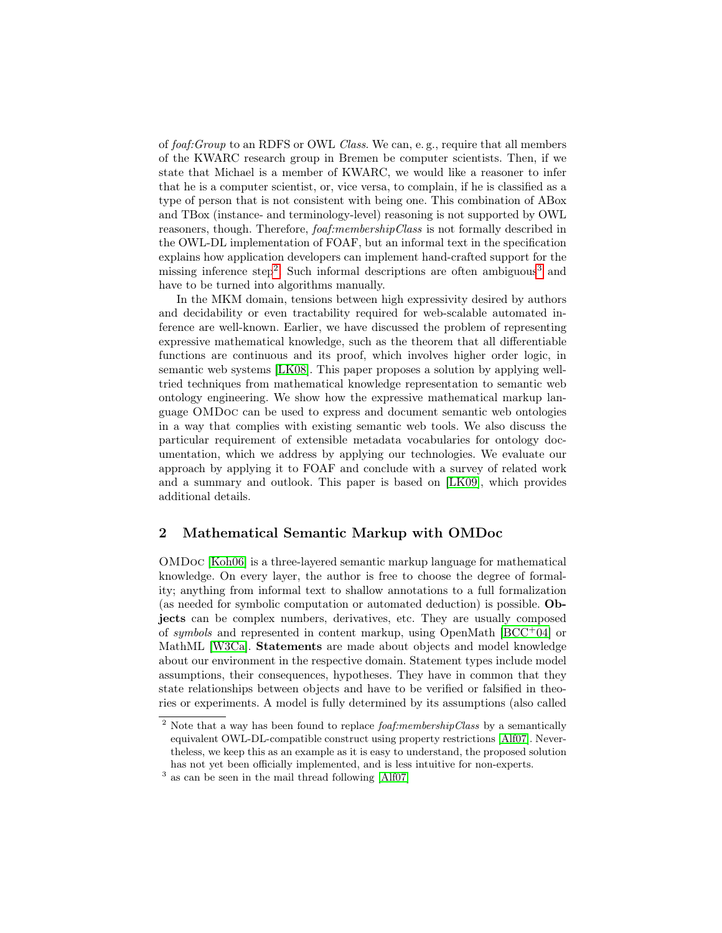of foaf:Group to an RDFS or OWL Class. We can, e. g., require that all members of the KWARC research group in Bremen be computer scientists. Then, if we state that Michael is a member of KWARC, we would like a reasoner to infer that he is a computer scientist, or, vice versa, to complain, if he is classified as a type of person that is not consistent with being one. This combination of ABox and TBox (instance- and terminology-level) reasoning is not supported by OWL reasoners, though. Therefore,  $foaf:$ *membershipClass* is not formally described in the OWL-DL implementation of FOAF, but an informal text in the specification explains how application developers can implement hand-crafted support for the missing inference step<sup>[2](#page-1-0)</sup>. Such informal descriptions are often ambiguous<sup>[3](#page-1-1)</sup> and have to be turned into algorithms manually.

In the MKM domain, tensions between high expressivity desired by authors and decidability or even tractability required for web-scalable automated inference are well-known. Earlier, we have discussed the problem of representing expressive mathematical knowledge, such as the theorem that all differentiable functions are continuous and its proof, which involves higher order logic, in semantic web systems [\[LK08\]](#page-15-1). This paper proposes a solution by applying welltried techniques from mathematical knowledge representation to semantic web ontology engineering. We show how the expressive mathematical markup language OMDoc can be used to express and document semantic web ontologies in a way that complies with existing semantic web tools. We also discuss the particular requirement of extensible metadata vocabularies for ontology documentation, which we address by applying our technologies. We evaluate our approach by applying it to FOAF and conclude with a survey of related work and a summary and outlook. This paper is based on [\[LK09\]](#page-15-2), which provides additional details.

# <span id="page-1-2"></span>2 Mathematical Semantic Markup with OMDoc

OMDoc [\[Koh06\]](#page-15-3) is a three-layered semantic markup language for mathematical knowledge. On every layer, the author is free to choose the degree of formality; anything from informal text to shallow annotations to a full formalization (as needed for symbolic computation or automated deduction) is possible. Objects can be complex numbers, derivatives, etc. They are usually composed of symbols and represented in content markup, using OpenMath [\[BCC](#page-14-3)<sup>+</sup>04] or MathML [\[W3Ca\]](#page-15-4). Statements are made about objects and model knowledge about our environment in the respective domain. Statement types include model assumptions, their consequences, hypotheses. They have in common that they state relationships between objects and have to be verified or falsified in theories or experiments. A model is fully determined by its assumptions (also called

<span id="page-1-0"></span><sup>&</sup>lt;sup>2</sup> Note that a way has been found to replace *foaf:membershipClass* by a semantically equivalent OWL-DL-compatible construct using property restrictions [\[Alf07\]](#page-14-4). Nevertheless, we keep this as an example as it is easy to understand, the proposed solution has not yet been officially implemented, and is less intuitive for non-experts.

<span id="page-1-1"></span><sup>3</sup> as can be seen in the mail thread following [\[Alf07\]](#page-14-4)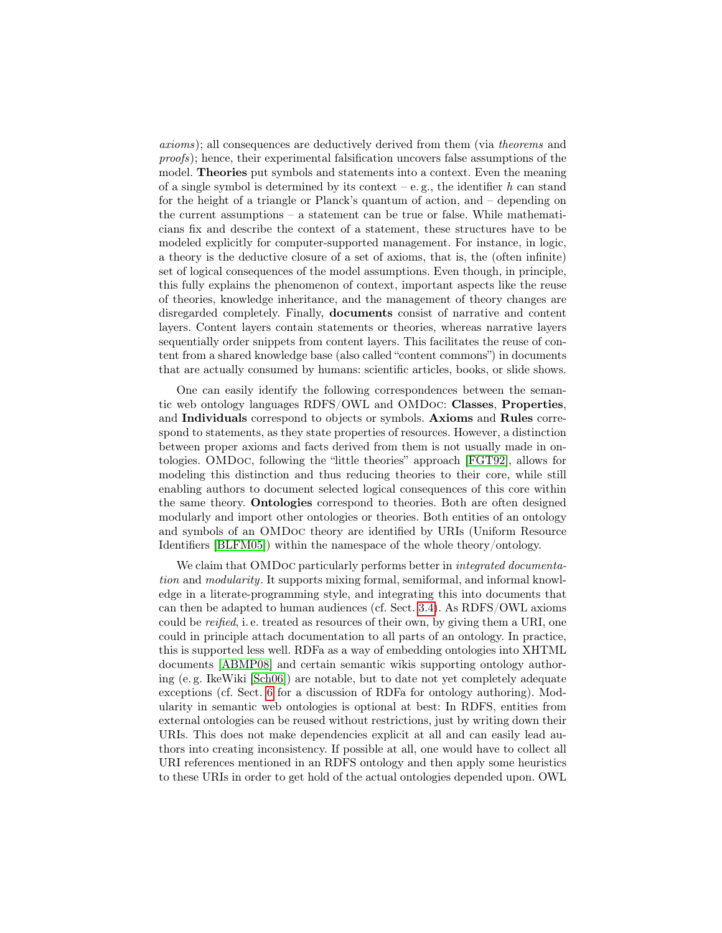axioms); all consequences are deductively derived from them (via theorems and proofs); hence, their experimental falsification uncovers false assumptions of the model. Theories put symbols and statements into a context. Even the meaning of a single symbol is determined by its context – e.g., the identifier h can stand for the height of a triangle or Planck's quantum of action, and – depending on the current assumptions – a statement can be true or false. While mathematicians fix and describe the context of a statement, these structures have to be modeled explicitly for computer-supported management. For instance, in logic, a theory is the deductive closure of a set of axioms, that is, the (often infinite) set of logical consequences of the model assumptions. Even though, in principle, this fully explains the phenomenon of context, important aspects like the reuse of theories, knowledge inheritance, and the management of theory changes are disregarded completely. Finally, documents consist of narrative and content layers. Content layers contain statements or theories, whereas narrative layers sequentially order snippets from content layers. This facilitates the reuse of content from a shared knowledge base (also called "content commons") in documents that are actually consumed by humans: scientific articles, books, or slide shows.

One can easily identify the following correspondences between the semantic web ontology languages RDFS/OWL and OMDoc: Classes, Properties, and Individuals correspond to objects or symbols. Axioms and Rules correspond to statements, as they state properties of resources. However, a distinction between proper axioms and facts derived from them is not usually made in ontologies. OMDoc, following the "little theories" approach [\[FGT92\]](#page-14-5), allows for modeling this distinction and thus reducing theories to their core, while still enabling authors to document selected logical consequences of this core within the same theory. Ontologies correspond to theories. Both are often designed modularly and import other ontologies or theories. Both entities of an ontology and symbols of an OMDoc theory are identified by URIs (Uniform Resource Identifiers [\[BLFM05\]](#page-14-6)) within the namespace of the whole theory/ontology.

We claim that OMDoc particularly performs better in *integrated documenta*tion and modularity. It supports mixing formal, semiformal, and informal knowledge in a literate-programming style, and integrating this into documents that can then be adapted to human audiences (cf. Sect. [3.4\)](#page-7-0). As RDFS/OWL axioms could be reified, i. e. treated as resources of their own, by giving them a URI, one could in principle attach documentation to all parts of an ontology. In practice, this is supported less well. RDFa as a way of embedding ontologies into XHTML documents [\[ABMP08\]](#page-14-7) and certain semantic wikis supporting ontology authoring (e. g. IkeWiki [\[Sch06\]](#page-15-5)) are notable, but to date not yet completely adequate exceptions (cf. Sect. [6](#page-12-0) for a discussion of RDFa for ontology authoring). Modularity in semantic web ontologies is optional at best: In RDFS, entities from external ontologies can be reused without restrictions, just by writing down their URIs. This does not make dependencies explicit at all and can easily lead authors into creating inconsistency. If possible at all, one would have to collect all URI references mentioned in an RDFS ontology and then apply some heuristics to these URIs in order to get hold of the actual ontologies depended upon. OWL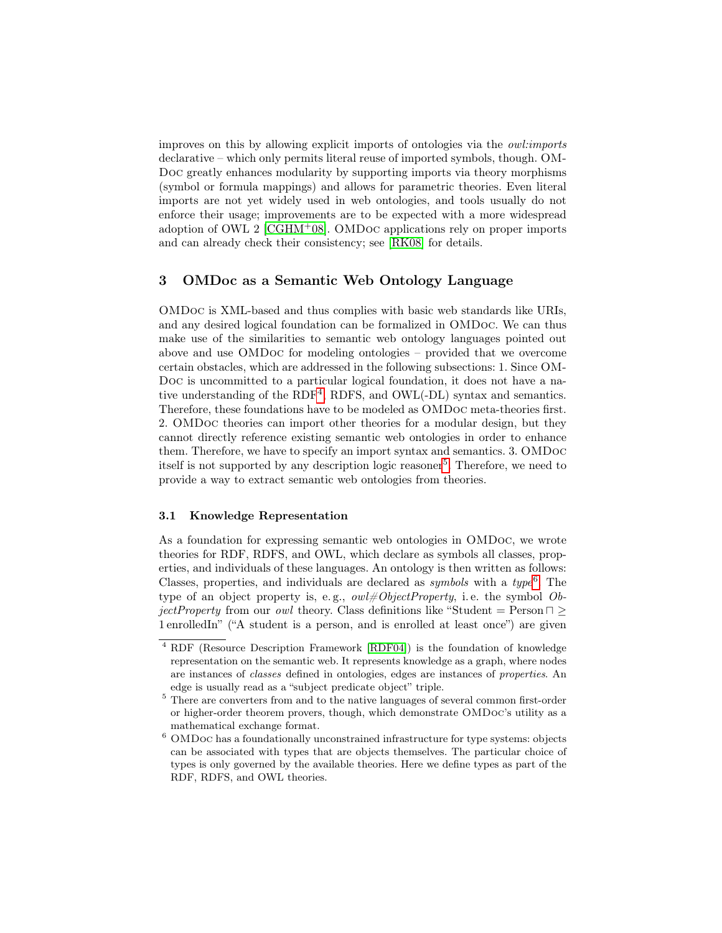improves on this by allowing explicit imports of ontologies via the owl:imports declarative – which only permits literal reuse of imported symbols, though. OM-Doc greatly enhances modularity by supporting imports via theory morphisms (symbol or formula mappings) and allows for parametric theories. Even literal imports are not yet widely used in web ontologies, and tools usually do not enforce their usage; improvements are to be expected with a more widespread adoption of OWL 2 [\[CGHM](#page-14-8)+08]. OMDoc applications rely on proper imports and can already check their consistency; see [\[RK08\]](#page-15-6) for details.

## 3 OMDoc as a Semantic Web Ontology Language

OMDoc is XML-based and thus complies with basic web standards like URIs, and any desired logical foundation can be formalized in OMDoc. We can thus make use of the similarities to semantic web ontology languages pointed out above and use OMDoc for modeling ontologies – provided that we overcome certain obstacles, which are addressed in the following subsections: 1. Since OM-Doc is uncommitted to a particular logical foundation, it does not have a na-tive understanding of the RDF<sup>[4](#page-3-0)</sup>, RDFS, and OWL $(-DL)$  syntax and semantics. Therefore, these foundations have to be modeled as OMDoc meta-theories first. 2. OMDoc theories can import other theories for a modular design, but they cannot directly reference existing semantic web ontologies in order to enhance them. Therefore, we have to specify an import syntax and semantics. 3. OMDoc itself is not supported by any description logic reasoner<sup>[5](#page-3-1)</sup>. Therefore, we need to provide a way to extract semantic web ontologies from theories.

#### <span id="page-3-3"></span>3.1 Knowledge Representation

As a foundation for expressing semantic web ontologies in OMDoc, we wrote theories for RDF, RDFS, and OWL, which declare as symbols all classes, properties, and individuals of these languages. An ontology is then written as follows: Classes, properties, and individuals are declared as  $symbols$  with a type<sup>[6](#page-3-2)</sup>. The type of an object property is, e.g.,  $ow \# ObjectProperty$ , i.e. the symbol  $Ob$ *jectProperty* from our *owl* theory. Class definitions like "Student = Person  $\Box$   $\geq$ 1 enrolledIn" ("A student is a person, and is enrolled at least once") are given

<span id="page-3-0"></span><sup>4</sup> RDF (Resource Description Framework [\[RDF04\]](#page-15-7)) is the foundation of knowledge representation on the semantic web. It represents knowledge as a graph, where nodes are instances of classes defined in ontologies, edges are instances of properties. An edge is usually read as a "subject predicate object" triple.

<span id="page-3-1"></span> $^5$  There are converters from and to the native languages of several common first-order or higher-order theorem provers, though, which demonstrate OMDoc's utility as a mathematical exchange format.

<span id="page-3-2"></span> $^6$  OMDoc has a foundationally unconstrained infrastructure for type systems: objects can be associated with types that are objects themselves. The particular choice of types is only governed by the available theories. Here we define types as part of the RDF, RDFS, and OWL theories.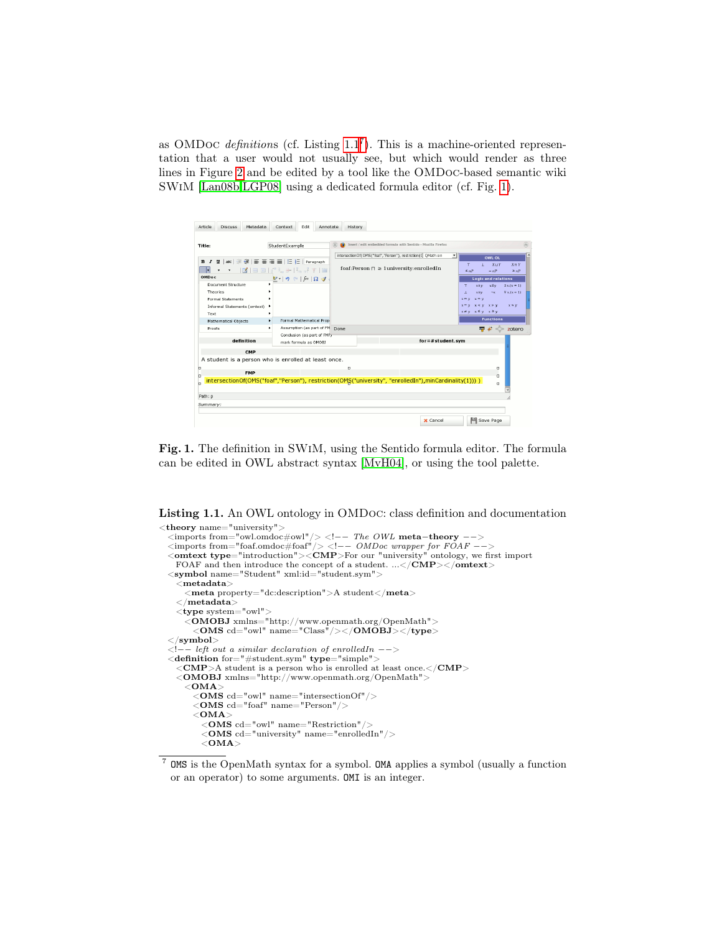as OMDoc *definitions* (cf. Listing  $1.1<sup>7</sup>$  $1.1<sup>7</sup>$  $1.1<sup>7</sup>$ ). This is a machine-oriented representation that a user would not usually see, but which would render as three lines in Figure [2](#page-8-0) and be edited by a tool like the OMDoc-based semantic wiki SWiM [\[Lan08b,](#page-15-8)[LGP08\]](#page-15-9) using a dedicated formula editor (cf. Fig. [1\)](#page-4-2).

| Title:                                                                                                                                                    | StudentExample                                                                                           | Insert / edit embedded formula with Sentido - Mozilla Firefox                                                           |                                                                                                                                                                                                                                                                                                                                  |
|-----------------------------------------------------------------------------------------------------------------------------------------------------------|----------------------------------------------------------------------------------------------------------|-------------------------------------------------------------------------------------------------------------------------|----------------------------------------------------------------------------------------------------------------------------------------------------------------------------------------------------------------------------------------------------------------------------------------------------------------------------------|
| $\mathbf{u}$<br>$B$ $I$<br><b>OMDoc</b><br>Document Structure<br><b>Theories</b><br><b>Formal Statements</b><br>Informal Statements (omtext)<br>Text<br>٠ | ##   徐 健   彭 喜 理   田   田   Paragraph<br>M   ⊟ ⊟   :" -' →   ' ' +'   ⊞<br>$\n  2 \cdot 9 =  f_m  \Omega$ | intersectionOf(OMS("foaf","Person"), restriction(C QMath:en<br>$foaf: Person \nightharpoonup 1$ university: enrolled In | OWL-DL<br>n.<br>T.<br>$X \sqcup Y$<br>$X \sqcap Y$<br>$\leq nP$<br>$= nP$<br>$\geq nP$<br><b>Logic and relations</b><br>$x \times y$<br>$\exists x.(x = 1)$<br>т<br><b>XVV</b><br>$\forall x.(x=1)$<br>XAV<br>$\neg x$<br>$x = y$<br>$x \triangleq y$<br>$x \leq v$ $x > v$<br>$x \approx v$<br>$x \neq y$ $x \leq y$ $x \geq y$ |
| Mathematical Objects                                                                                                                                      | Formal Mathematical Prop-                                                                                |                                                                                                                         | <b>Functions</b>                                                                                                                                                                                                                                                                                                                 |
| ٠<br>Proofs<br>definition                                                                                                                                 | Assumption (as part of FM<br>Conclusion (as part of FMP)<br>mark formula as OMOBJ                        | Done<br>$for = # student,sym$                                                                                           | 取金<br>zotero                                                                                                                                                                                                                                                                                                                     |
| CMP<br>A student is a person who is enrolled at least once.                                                                                               |                                                                                                          |                                                                                                                         |                                                                                                                                                                                                                                                                                                                                  |
| <b>FMP</b>                                                                                                                                                |                                                                                                          | $\Box$<br>intersectionOf(OMS("foaf","Person"), restriction(OMS("university", "enrolledIn"),minCardinality(1))) )        | $\Box$<br>$\Box$<br>$\Box$                                                                                                                                                                                                                                                                                                       |
| Path: p                                                                                                                                                   |                                                                                                          |                                                                                                                         |                                                                                                                                                                                                                                                                                                                                  |

<span id="page-4-2"></span>Fig. 1. The definition in SWiM, using the Sentido formula editor. The formula can be edited in OWL abstract syntax [\[MvH04\]](#page-15-0), or using the tool palette.

<span id="page-4-0"></span>Listing 1.1. An OWL ontology in OMDoc: class definition and documentation  $lt$  heory name="university">

```
<imports from="owl.omdoc#owl"/> <!−− The OWL meta−theory -−><br><imports from="foaf.omdoc#foaf"/> <!-− OMDoc wrapper for FOAF -−>
\leq omtext type="introduction">\leqCMP>For our "university" ontology, we first import
 FOAF and then introduce the concept of a student. ...</CMP></omtext>
<symbol name="Student" xml:id="student.sym">
  <metadata><meta property="dc:description">A student</meta>
 \langle/metadata><type system="owl">\leqOMOBJ xmlns="http://www.openmath.org/OpenMath">
      \leq OMS cd="owl" name="Class"/>\lt/OMOBJ>\lt/type>
\langle/symbol\rangle\langle -1 - 1 \rangle = left out a similar declaration of enrolledIn -\rangle<definition for="#student.sym" type="simple">
 \langle CMP>A student is a person who is enrolled at least once.\langle/CMP>
 <OMOBJ xmlns="http://www.openmath.org/OpenMath">
   <OMA>\langle OMS cd="owl" name="intersectionOf"/>
      \langleOMS cd="foaf" name="Person"/>
      <OMA>\langle OMS cd="owl" name="Restriction"/>
        <OMS cd="university" name="enrolledIn"/>
        <OMA>
```
<span id="page-4-1"></span><sup>&</sup>lt;sup>7</sup> OMS is the OpenMath syntax for a symbol. OMA applies a symbol (usually a function or an operator) to some arguments. OMI is an integer.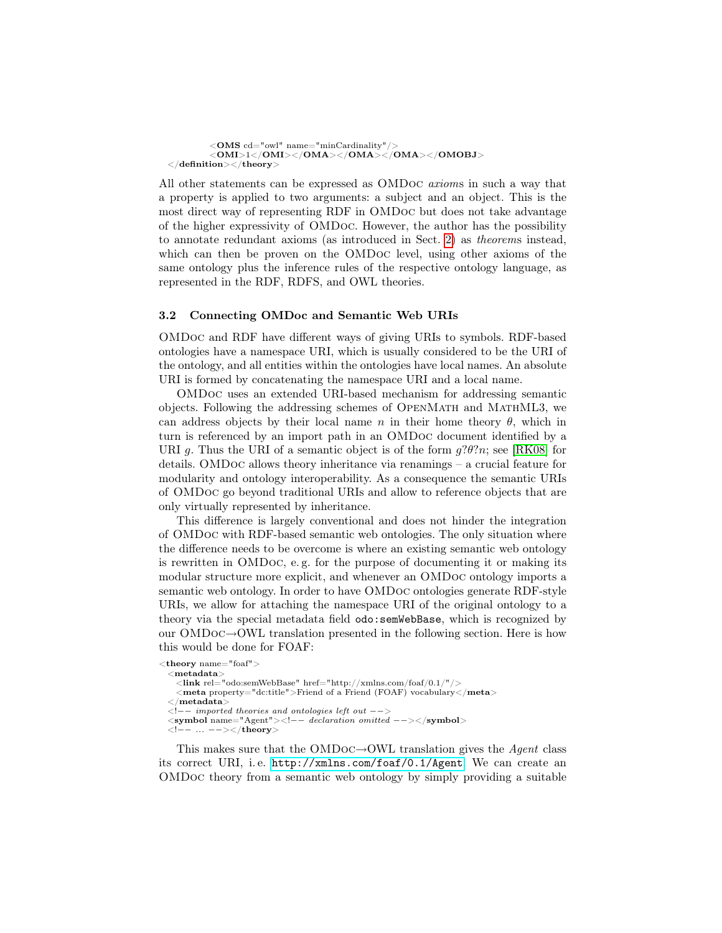```
\langle OMS cd="owl" name="minCardinality"/>
                \langle \mathrm{OMI}\rangle1\langle/\mathrm{OMI}\rangle\langle/\mathrm{OMA}\rangle\langle/\mathrm{OMA}\rangle\langle/\mathrm{OMA}\rangle\langle/\mathrm{OMOBJ}\rangle</definition></theory>
```
All other statements can be expressed as OMDoc axioms in such a way that a property is applied to two arguments: a subject and an object. This is the most direct way of representing RDF in OMDoc but does not take advantage of the higher expressivity of OMDoc. However, the author has the possibility to annotate redundant axioms (as introduced in Sect. [2\)](#page-1-2) as theorems instead, which can then be proven on the OMDoc level, using other axioms of the same ontology plus the inference rules of the respective ontology language, as represented in the RDF, RDFS, and OWL theories.

### 3.2 Connecting OMDoc and Semantic Web URIs

OMDoc and RDF have different ways of giving URIs to symbols. RDF-based ontologies have a namespace URI, which is usually considered to be the URI of the ontology, and all entities within the ontologies have local names. An absolute URI is formed by concatenating the namespace URI and a local name.

OMDoc uses an extended URI-based mechanism for addressing semantic objects. Following the addressing schemes of OpenMath and MathML3, we can address objects by their local name n in their home theory  $\theta$ , which in turn is referenced by an import path in an OMDoc document identified by a URI g. Thus the URI of a semantic object is of the form  $q?\theta?n$ ; see [\[RK08\]](#page-15-6) for details. OMDoc allows theory inheritance via renamings – a crucial feature for modularity and ontology interoperability. As a consequence the semantic URIs of OMDoc go beyond traditional URIs and allow to reference objects that are only virtually represented by inheritance.

This difference is largely conventional and does not hinder the integration of OMDoc with RDF-based semantic web ontologies. The only situation where the difference needs to be overcome is where an existing semantic web ontology is rewritten in OMDoc, e. g. for the purpose of documenting it or making its modular structure more explicit, and whenever an OMDoc ontology imports a semantic web ontology. In order to have OMDoc ontologies generate RDF-style URIs, we allow for attaching the namespace URI of the original ontology to a theory via the special metadata field odo:semWebBase, which is recognized by our OMDoc $\rightarrow$ OWL translation presented in the following section. Here is how this would be done for FOAF:

 $<$ theory name="foaf"> <metadata>

```
\langlelink rel="odo:semWebBase" href="http://xmlns.com/foaf/0.1/"/>
```
 $<$ meta property="dc:title">Friend of a Friend (FOAF) vocabulary</meta>

 $\langle$ /metadata $\overline{\rangle}$ 

This makes sure that the OMDoc $\rightarrow$ OWL translation gives the Agent class its correct URI, i. e. <http://xmlns.com/foaf/0.1/Agent>. We can create an OMDoc theory from a semantic web ontology by simply providing a suitable

 $\langle$  =− imported theories and ontologies left out -->

<sup>&</sup>lt;symbol name="Agent"><!−− declaration omitted −−></symbol>

<sup>&</sup>lt;!−− ... −−></theory>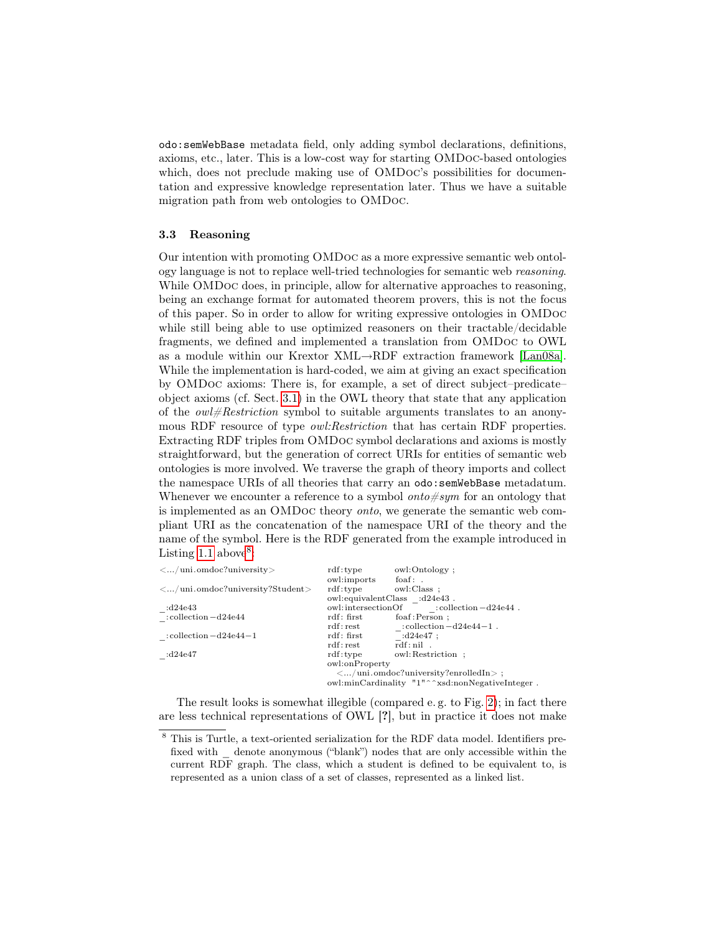odo:semWebBase metadata field, only adding symbol declarations, definitions, axioms, etc., later. This is a low-cost way for starting OMDoc-based ontologies which, does not preclude making use of OMDoc's possibilities for documentation and expressive knowledge representation later. Thus we have a suitable migration path from web ontologies to OMDoc.

#### <span id="page-6-1"></span>3.3 Reasoning

Our intention with promoting OMDoc as a more expressive semantic web ontology language is not to replace well-tried technologies for semantic web reasoning. While OMDoc does, in principle, allow for alternative approaches to reasoning, being an exchange format for automated theorem provers, this is not the focus of this paper. So in order to allow for writing expressive ontologies in OMDoc while still being able to use optimized reasoners on their tractable/decidable fragments, we defined and implemented a translation from OMDoc to OWL as a module within our Krextor XML→RDF extraction framework [\[Lan08a\]](#page-15-10). While the implementation is hard-coded, we aim at giving an exact specification by OMDoc axioms: There is, for example, a set of direct subject–predicate– object axioms (cf. Sect. [3.1\)](#page-3-3) in the OWL theory that state that any application of the *owl#Restriction* symbol to suitable arguments translates to an anonymous RDF resource of type *owl:Restriction* that has certain RDF properties. Extracting RDF triples from OMDoc symbol declarations and axioms is mostly straightforward, but the generation of correct URIs for entities of semantic web ontologies is more involved. We traverse the graph of theory imports and collect the namespace URIs of all theories that carry an odo:semWebBase metadatum. Whenever we encounter a reference to a symbol  $onto \#sym$  for an ontology that is implemented as an OMDoc theory onto, we generate the semantic web compliant URI as the concatenation of the namespace URI of the theory and the name of the symbol. Here is the RDF generated from the example introduced in Listing  $1.1$  above<sup>[8](#page-6-0)</sup>:

| $\langle  /$ uni.omdoc?university>                                                   | $\text{rdf:type}$                                                                     | owl:Ontology;                                   |  |
|--------------------------------------------------------------------------------------|---------------------------------------------------------------------------------------|-------------------------------------------------|--|
|                                                                                      | owl:imports foaf:                                                                     |                                                 |  |
| $\langle  / \text{uni.omdoc?}$ university?Student $>$                                | rdf:type owl:Class;                                                                   |                                                 |  |
|                                                                                      | owl:equivalentClass :d24e43.                                                          |                                                 |  |
|                                                                                      |                                                                                       | owl:intersectionOf :collection-d24e44.          |  |
| $\substack{ \text{-:}} \frac{\text{-:}}{\text{collection} - \text{d} 24\text{e} 44}$ | rdf: first                                                                            | foaf:Person;                                    |  |
|                                                                                      | $\text{rdf}$ : rest                                                                   | $\cdot$ collection $-d24e44-1$ .                |  |
| $\_\_$ : collection $-d24e44-1$                                                      | rdf: first                                                                            | : $\mathrm{d}24\mathrm{e}47$ :                  |  |
|                                                                                      | $\text{rdf}$ : rest                                                                   | $\text{rdf: nil}$ .                             |  |
| $-$ :d24e47                                                                          | $\text{rdf:type}$                                                                     | owl: Restriction:                               |  |
|                                                                                      | owl:onProperty                                                                        |                                                 |  |
|                                                                                      | $\langle  / \text{uni.} \text{omdoc?} \text{university?} \text{enrolledIn} \rangle$ ; |                                                 |  |
|                                                                                      |                                                                                       | owl:minCardinality "1"^^xsd:nonNegativeInteger. |  |
|                                                                                      |                                                                                       |                                                 |  |

The result looks is somewhat illegible (compared e. g. to Fig. [2\)](#page-8-0); in fact there are less technical representations of OWL [?], but in practice it does not make

<span id="page-6-0"></span><sup>8</sup> This is Turtle, a text-oriented serialization for the RDF data model. Identifiers prefixed with denote anonymous ("blank") nodes that are only accessible within the current RDF graph. The class, which a student is defined to be equivalent to, is represented as a union class of a set of classes, represented as a linked list.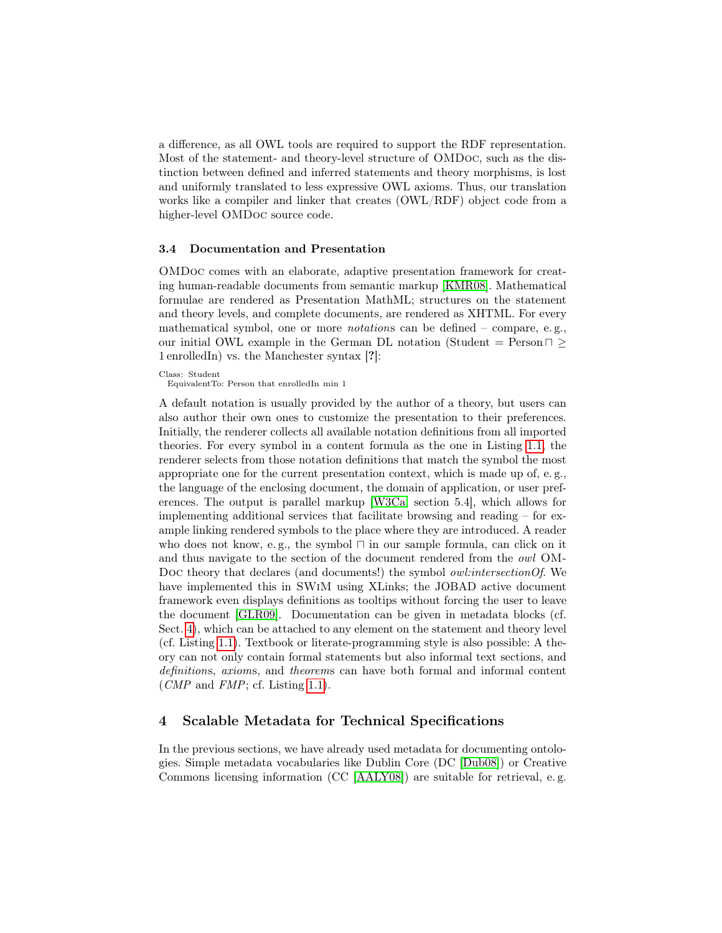a difference, as all OWL tools are required to support the RDF representation. Most of the statement- and theory-level structure of OMDoc, such as the distinction between defined and inferred statements and theory morphisms, is lost and uniformly translated to less expressive OWL axioms. Thus, our translation works like a compiler and linker that creates (OWL/RDF) object code from a higher-level OMDoc source code.

#### <span id="page-7-0"></span>3.4 Documentation and Presentation

OMDoc comes with an elaborate, adaptive presentation framework for creating human-readable documents from semantic markup [\[KMR08\]](#page-15-11). Mathematical formulae are rendered as Presentation MathML; structures on the statement and theory levels, and complete documents, are rendered as XHTML. For every mathematical symbol, one or more *notations* can be defined – compare, e.g., our initial OWL example in the German DL notation (Student = Person  $\Box$ ) 1 enrolledIn) vs. the Manchester syntax [?]:

Class: Student EquivalentTo: Person that enrolledIn min 1

A default notation is usually provided by the author of a theory, but users can also author their own ones to customize the presentation to their preferences. Initially, the renderer collects all available notation definitions from all imported theories. For every symbol in a content formula as the one in Listing [1.1,](#page-4-0) the renderer selects from those notation definitions that match the symbol the most appropriate one for the current presentation context, which is made up of, e. g., the language of the enclosing document, the domain of application, or user preferences. The output is parallel markup [\[W3Ca,](#page-15-4) section 5.4], which allows for implementing additional services that facilitate browsing and reading – for example linking rendered symbols to the place where they are introduced. A reader who does not know, e.g., the symbol  $\Box$  in our sample formula, can click on it and thus navigate to the section of the document rendered from the owl OM-Doc theory that declares (and documents!) the symbol *owl:intersectionOf*. We have implemented this in SWiM using XLinks; the JOBAD active document framework even displays definitions as tooltips without forcing the user to leave the document [\[GLR09\]](#page-14-9). Documentation can be given in metadata blocks (cf. Sect. [4\)](#page-7-1), which can be attached to any element on the statement and theory level (cf. Listing [1.1\)](#page-4-0). Textbook or literate-programming style is also possible: A theory can not only contain formal statements but also informal text sections, and definitions, axioms, and theorems can have both formal and informal content (*CMP* and  $FMP$ ; cf. Listing [1.1\)](#page-4-0).

# <span id="page-7-1"></span>4 Scalable Metadata for Technical Specifications

In the previous sections, we have already used metadata for documenting ontologies. Simple metadata vocabularies like Dublin Core (DC [\[Dub08\]](#page-14-10)) or Creative Commons licensing information (CC [\[AALY08\]](#page-14-11)) are suitable for retrieval, e. g.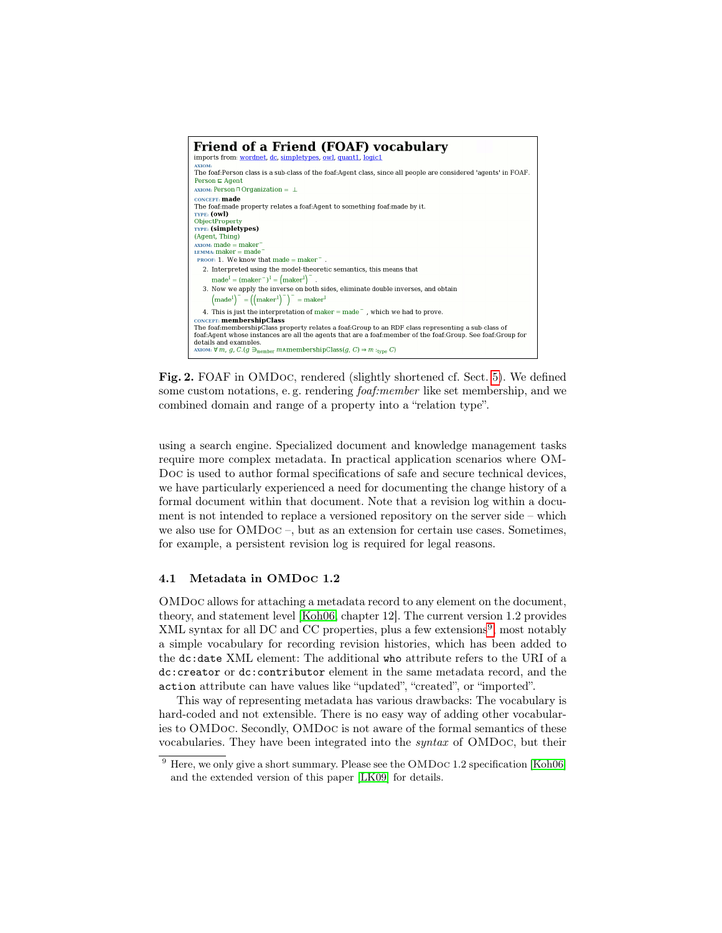

<span id="page-8-0"></span>Fig. 2. FOAF in OMDoc, rendered (slightly shortened cf. Sect. [5\)](#page-11-0). We defined some custom notations, e. g. rendering foaf:member like set membership, and we combined domain and range of a property into a "relation type".

using a search engine. Specialized document and knowledge management tasks require more complex metadata. In practical application scenarios where OM-Doc is used to author formal specifications of safe and secure technical devices, we have particularly experienced a need for documenting the change history of a formal document within that document. Note that a revision log within a document is not intended to replace a versioned repository on the server side – which we also use for OMDoc –, but as an extension for certain use cases. Sometimes, for example, a persistent revision log is required for legal reasons.

## 4.1 Metadata in OMDoc 1.2

OMDoc allows for attaching a metadata record to any element on the document, theory, and statement level [\[Koh06,](#page-15-3) chapter 12]. The current version 1.2 provides XML syntax for all DC and CC properties, plus a few extensions<sup>[9](#page-8-1)</sup>, most notably a simple vocabulary for recording revision histories, which has been added to the dc:date XML element: The additional who attribute refers to the URI of a dc:creator or dc:contributor element in the same metadata record, and the action attribute can have values like "updated", "created", or "imported".

This way of representing metadata has various drawbacks: The vocabulary is hard-coded and not extensible. There is no easy way of adding other vocabularies to OMDoc. Secondly, OMDoc is not aware of the formal semantics of these vocabularies. They have been integrated into the syntax of OMDoc, but their

<span id="page-8-1"></span> $9\text{ Here, we only give a short summary. Please see the OMDoc 1.2 specification [Koh06]$  $9\text{ Here, we only give a short summary. Please see the OMDoc 1.2 specification [Koh06]$ and the extended version of this paper [\[LK09\]](#page-15-2) for details.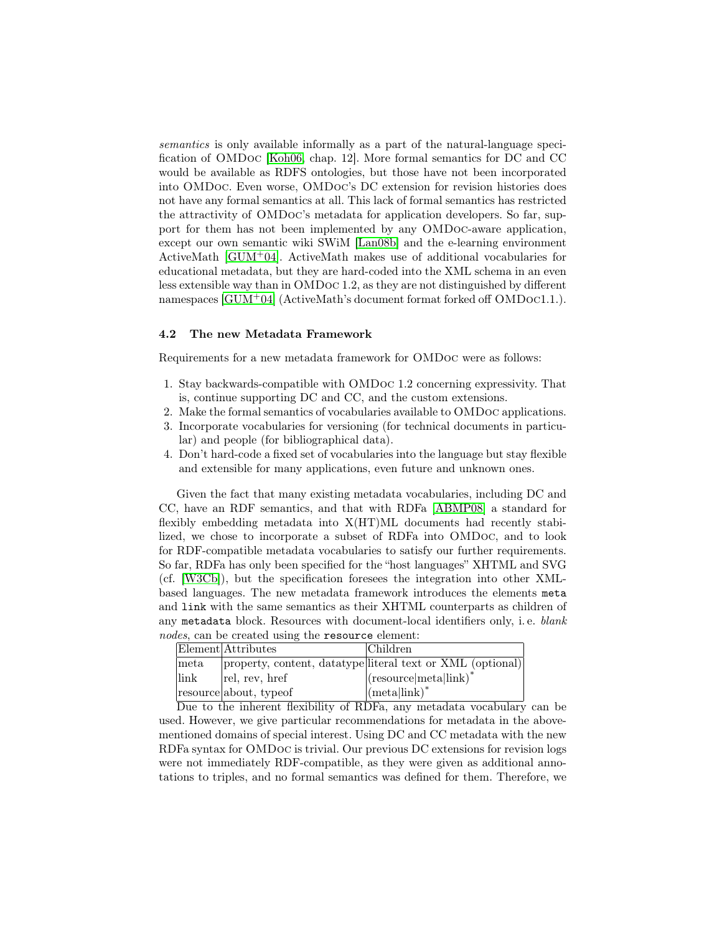semantics is only available informally as a part of the natural-language specification of OMDoc [\[Koh06,](#page-15-3) chap. 12]. More formal semantics for DC and CC would be available as RDFS ontologies, but those have not been incorporated into OMDoc. Even worse, OMDoc's DC extension for revision histories does not have any formal semantics at all. This lack of formal semantics has restricted the attractivity of OMDoc's metadata for application developers. So far, support for them has not been implemented by any OMDoc-aware application, except our own semantic wiki SWiM [\[Lan08b\]](#page-15-8) and the e-learning environment ActiveMath [\[GUM](#page-15-12)+04]. ActiveMath makes use of additional vocabularies for educational metadata, but they are hard-coded into the XML schema in an even less extensible way than in OMDoc 1.2, as they are not distinguished by different namespaces [\[GUM](#page-15-12)+04] (ActiveMath's document format forked off OMDoc1.1.).

#### <span id="page-9-0"></span>4.2 The new Metadata Framework

Requirements for a new metadata framework for OMDoc were as follows:

- 1. Stay backwards-compatible with OMDoc 1.2 concerning expressivity. That is, continue supporting DC and CC, and the custom extensions.
- 2. Make the formal semantics of vocabularies available to OMDoc applications.
- 3. Incorporate vocabularies for versioning (for technical documents in particular) and people (for bibliographical data).
- 4. Don't hard-code a fixed set of vocabularies into the language but stay flexible and extensible for many applications, even future and unknown ones.

Given the fact that many existing metadata vocabularies, including DC and CC, have an RDF semantics, and that with RDFa [\[ABMP08\]](#page-14-7) a standard for flexibly embedding metadata into X(HT)ML documents had recently stabilized, we chose to incorporate a subset of RDFa into OMDoc, and to look for RDF-compatible metadata vocabularies to satisfy our further requirements. So far, RDFa has only been specified for the "host languages" XHTML and SVG (cf. [\[W3Cb\]](#page-15-13)), but the specification foresees the integration into other XMLbased languages. The new metadata framework introduces the elements meta and link with the same semantics as their XHTML counterparts as children of any metadata block. Resources with document-local identifiers only, i. e. blank nodes, can be created using the resource element:

|       | Element Attributes      | Children                                                   |
|-------|-------------------------|------------------------------------------------------------|
| meta  |                         | property, content, datatype literal text or XML (optional) |
| llink | rel, rev, href          | $ (\text{resource} \text{meta} \text{link})^*$             |
|       | resource about, type of | $\vert$ (meta $\vert$ link) <sup>*</sup>                   |

Due to the inherent flexibility of RDFa, any metadata vocabulary can be used. However, we give particular recommendations for metadata in the abovementioned domains of special interest. Using DC and CC metadata with the new RDFa syntax for OMDoc is trivial. Our previous DC extensions for revision logs were not immediately RDF-compatible, as they were given as additional annotations to triples, and no formal semantics was defined for them. Therefore, we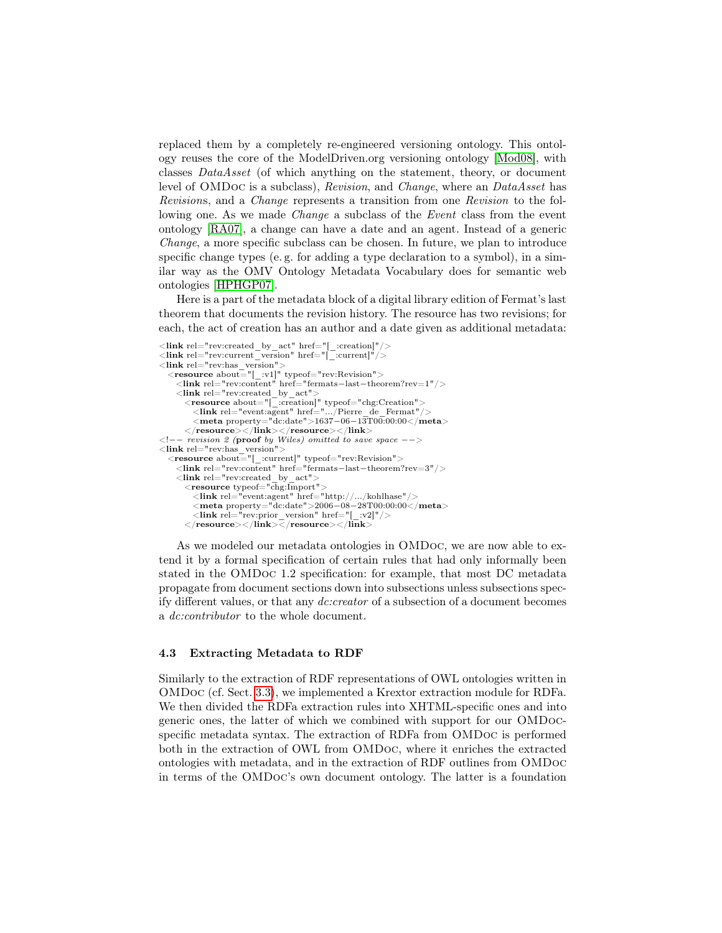replaced them by a completely re-engineered versioning ontology. This ontology reuses the core of the ModelDriven.org versioning ontology [\[Mod08\]](#page-15-14), with classes DataAsset (of which anything on the statement, theory, or document level of OMDoc is a subclass), Revision, and Change, where an DataAsset has Revisions, and a Change represents a transition from one Revision to the following one. As we made *Change* a subclass of the *Event* class from the event ontology [\[RA07\]](#page-15-15), a change can have a date and an agent. Instead of a generic Change, a more specific subclass can be chosen. In future, we plan to introduce specific change types (e. g. for adding a type declaration to a symbol), in a similar way as the OMV Ontology Metadata Vocabulary does for semantic web ontologies [\[HPHGP07\]](#page-15-16).

Here is a part of the metadata block of a digital library edition of Fermat's last theorem that documents the revision history. The resource has two revisions; for each, the act of creation has an author and a date given as additional metadata:

```
\leqlink rel="rev:created by act" href="[ :creation]"
\leqlink rel="rev:current_version" href="[_:current]"
\langlelink rel="rev:has_version">
  <resource about="[_:v1]" typeof="rev:Revision">
<link rel="rev:content" href="fermats−last−theorem?rev=1"/>
     <link rel="rev:created_by_act">
<resource about="[_:creation]" typeof="chg:Creation">
<link rel="event:agent" href=".../Pierre_de_Fermat"/>
<meta property="dc:date">1637−06−13T00:00:00</meta>
       \langleresource>\rangle\langlelink>\rangleresource>\ranglelink>\lt! -− revision 2 (proof by Wiles) omitted to save space -->
<link rel="rev:has_version">
<resource about="[_:current]" typeof="rev:Revision">
     <link rel="rev:content" href="fermats−last−theorem?rev=3"/>
     <link rel="rev:created_by_act">
<resource typeof="chg:Import">
          <link rel="event:agent" href="http://.../kohlhase"/>
          <meta property="dc:date">2006-08-28T00:00:00</meta>
          \langlelink rel="rev:prior_version" href="[_:v2]"/>
```
As we modeled our metadata ontologies in OMDoc, we are now able to extend it by a formal specification of certain rules that had only informally been stated in the OMDoc 1.2 specification: for example, that most DC metadata propagate from document sections down into subsections unless subsections specify different values, or that any dc:creator of a subsection of a document becomes a dc:contributor to the whole document.

#### 4.3 Extracting Metadata to RDF

Similarly to the extraction of RDF representations of OWL ontologies written in OMDoc (cf. Sect. [3.3\)](#page-6-1), we implemented a Krextor extraction module for RDFa. We then divided the RDFa extraction rules into XHTML-specific ones and into generic ones, the latter of which we combined with support for our OMDocspecific metadata syntax. The extraction of RDFa from OMDoc is performed both in the extraction of OWL from OMDoc, where it enriches the extracted ontologies with metadata, and in the extraction of RDF outlines from OMDoc in terms of the OMDoc's own document ontology. The latter is a foundation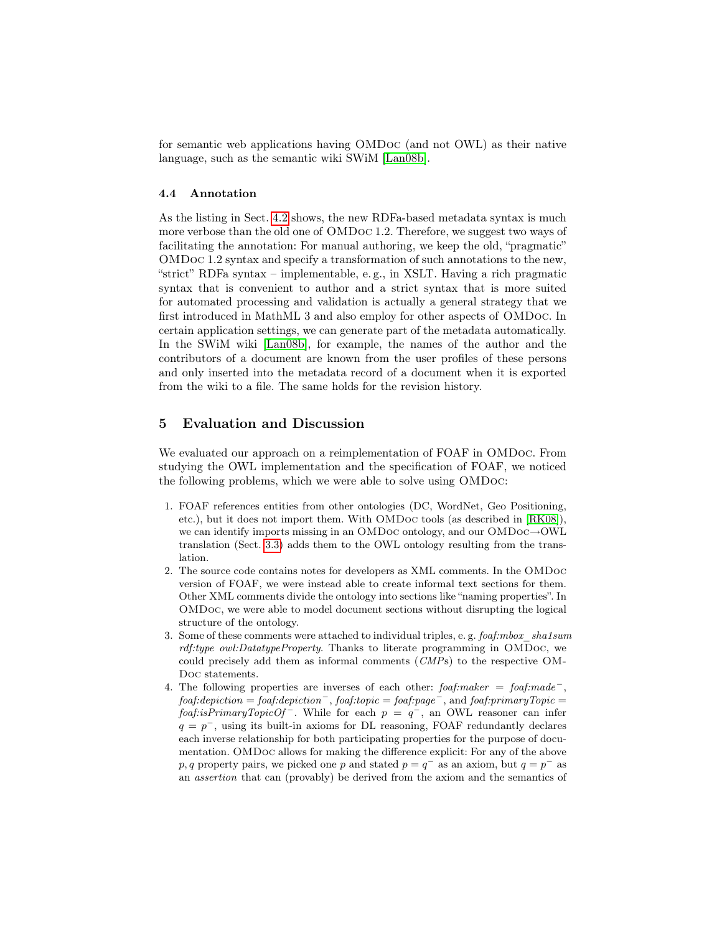for semantic web applications having OMDoc (and not OWL) as their native language, such as the semantic wiki SWiM [\[Lan08b\]](#page-15-8).

## <span id="page-11-1"></span>4.4 Annotation

As the listing in Sect. [4.2](#page-9-0) shows, the new RDFa-based metadata syntax is much more verbose than the old one of OMDoc 1.2. Therefore, we suggest two ways of facilitating the annotation: For manual authoring, we keep the old, "pragmatic" OMDoc 1.2 syntax and specify a transformation of such annotations to the new, "strict" RDFa syntax – implementable, e. g., in XSLT. Having a rich pragmatic syntax that is convenient to author and a strict syntax that is more suited for automated processing and validation is actually a general strategy that we first introduced in MathML 3 and also employ for other aspects of OMDoc. In certain application settings, we can generate part of the metadata automatically. In the SWiM wiki [\[Lan08b\]](#page-15-8), for example, the names of the author and the contributors of a document are known from the user profiles of these persons and only inserted into the metadata record of a document when it is exported from the wiki to a file. The same holds for the revision history.

# <span id="page-11-0"></span>5 Evaluation and Discussion

We evaluated our approach on a reimplementation of FOAF in OMDoc. From studying the OWL implementation and the specification of FOAF, we noticed the following problems, which we were able to solve using OMDoc:

- 1. FOAF references entities from other ontologies (DC, WordNet, Geo Positioning, etc.), but it does not import them. With OMDoc tools (as described in [\[RK08\]](#page-15-6)), we can identify imports missing in an OMDoc ontology, and our OMDoc→OWL translation (Sect. [3.3\)](#page-6-1) adds them to the OWL ontology resulting from the translation.
- 2. The source code contains notes for developers as XML comments. In the OMDoc version of FOAF, we were instead able to create informal text sections for them. Other XML comments divide the ontology into sections like "naming properties". In OMDoc, we were able to model document sections without disrupting the logical structure of the ontology.
- 3. Some of these comments were attached to individual triples, e.g.  $foaf:mbox-shalsum$ rdf:type owl:DatatypeProperty. Thanks to literate programming in OMDoc, we could precisely add them as informal comments (CMPs) to the respective OM-Doc statements.
- 4. The following properties are inverses of each other:  $foaf.make = foaf: made^-$ ,  $f \circ af:depiction = foaf:depiction^{-}$ ,  $foaf:topic = foaf:page^{-}$ , and  $foaf:primaryTopic =$ foaf:isPrimaryTopicOf<sup>-</sup>. While for each  $p = q^{-}$ , an OWL reasoner can infer  $q = p^{-}$ , using its built-in axioms for DL reasoning, FOAF redundantly declares each inverse relationship for both participating properties for the purpose of documentation. OMDoc allows for making the difference explicit: For any of the above p, q property pairs, we picked one p and stated  $p = q^{-}$  as an axiom, but  $q = p^{-}$  as an assertion that can (provably) be derived from the axiom and the semantics of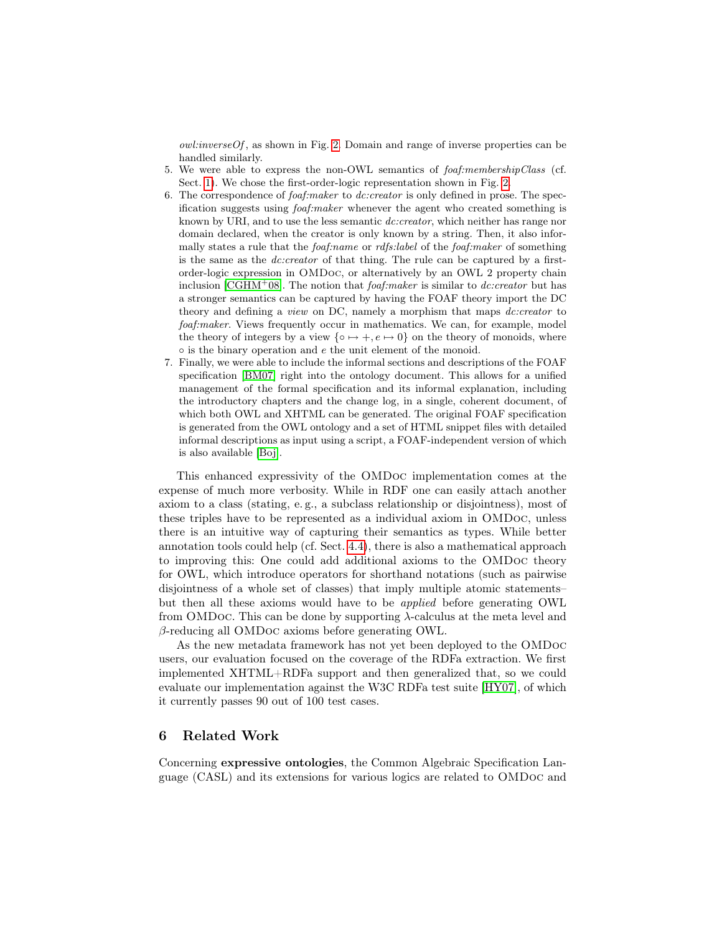$\omega w$ : *inverseOf*, as shown in Fig. [2.](#page-8-0) Domain and range of inverse properties can be handled similarly.

- 5. We were able to express the non-OWL semantics of foaf:membershipClass (cf. Sect. [1\)](#page-0-1). We chose the first-order-logic representation shown in Fig. [2.](#page-8-0)
- 6. The correspondence of foaf:maker to dc:creator is only defined in prose. The specification suggests using foaf:maker whenever the agent who created something is known by URI, and to use the less semantic *dc:creator*, which neither has range nor domain declared, when the creator is only known by a string. Then, it also informally states a rule that the foaf:name or rdfs:label of the foaf:maker of something is the same as the dc:creator of that thing. The rule can be captured by a firstorder-logic expression in OMDoc, or alternatively by an OWL 2 property chain inclusion [\[CGHM](#page-14-8)<sup>+</sup>08]. The notion that *foaf:maker* is similar to *dc:creator* but has a stronger semantics can be captured by having the FOAF theory import the DC theory and defining a view on DC, namely a morphism that maps dc:creator to foaf:maker. Views frequently occur in mathematics. We can, for example, model the theory of integers by a view  $\{\circ \mapsto +, e \mapsto 0\}$  on the theory of monoids, where ◦ is the binary operation and e the unit element of the monoid.
- 7. Finally, we were able to include the informal sections and descriptions of the FOAF specification [\[BM07\]](#page-14-2) right into the ontology document. This allows for a unified management of the formal specification and its informal explanation, including the introductory chapters and the change log, in a single, coherent document, of which both OWL and XHTML can be generated. The original FOAF specification is generated from the OWL ontology and a set of HTML snippet files with detailed informal descriptions as input using a script, a FOAF-independent version of which is also available [\[Boj\]](#page-14-12).

This enhanced expressivity of the OMDoc implementation comes at the expense of much more verbosity. While in RDF one can easily attach another axiom to a class (stating, e. g., a subclass relationship or disjointness), most of these triples have to be represented as a individual axiom in OMDoc, unless there is an intuitive way of capturing their semantics as types. While better annotation tools could help (cf. Sect. [4.4\)](#page-11-1), there is also a mathematical approach to improving this: One could add additional axioms to the OMDoc theory for OWL, which introduce operators for shorthand notations (such as pairwise disjointness of a whole set of classes) that imply multiple atomic statements– but then all these axioms would have to be applied before generating OWL from OMDoc. This can be done by supporting  $\lambda$ -calculus at the meta level and β-reducing all OMDoc axioms before generating OWL.

As the new metadata framework has not yet been deployed to the OMDoc users, our evaluation focused on the coverage of the RDFa extraction. We first implemented XHTML+RDFa support and then generalized that, so we could evaluate our implementation against the W3C RDFa test suite [\[HY07\]](#page-15-17), of which it currently passes 90 out of 100 test cases.

## <span id="page-12-0"></span>6 Related Work

Concerning expressive ontologies, the Common Algebraic Specification Language (CASL) and its extensions for various logics are related to OMDoc and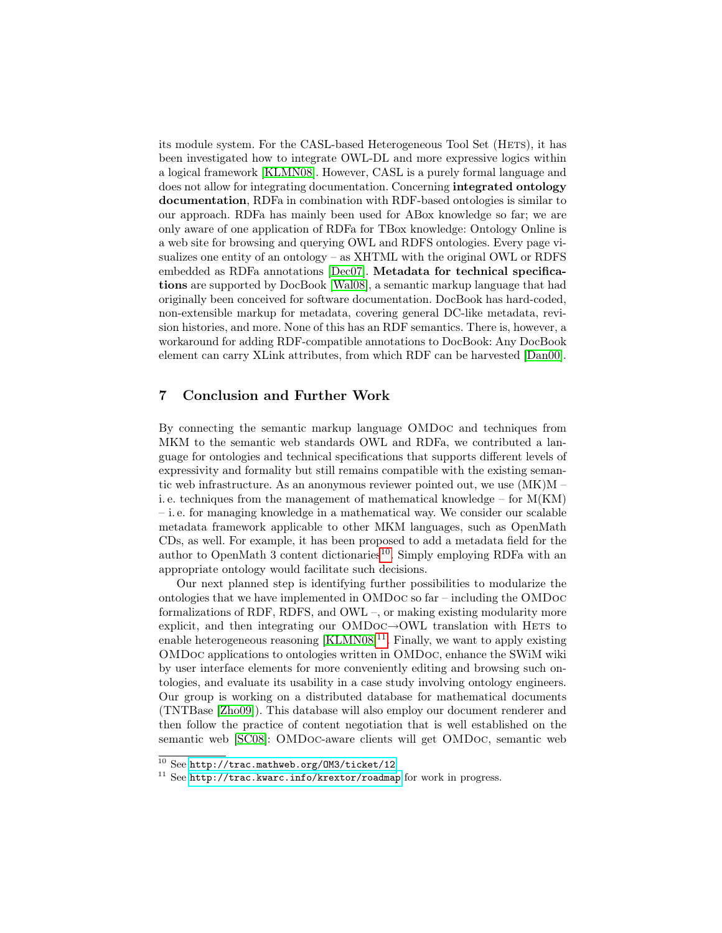its module system. For the CASL-based Heterogeneous Tool Set (Hets), it has been investigated how to integrate OWL-DL and more expressive logics within a logical framework [\[KLMN08\]](#page-15-18). However, CASL is a purely formal language and does not allow for integrating documentation. Concerning integrated ontology documentation, RDFa in combination with RDF-based ontologies is similar to our approach. RDFa has mainly been used for ABox knowledge so far; we are only aware of one application of RDFa for TBox knowledge: Ontology Online is a web site for browsing and querying OWL and RDFS ontologies. Every page visualizes one entity of an ontology – as XHTML with the original OWL or RDFS embedded as RDFa annotations [\[Dec07\]](#page-14-13). Metadata for technical specifications are supported by DocBook [\[Wal08\]](#page-15-19), a semantic markup language that had originally been conceived for software documentation. DocBook has hard-coded, non-extensible markup for metadata, covering general DC-like metadata, revision histories, and more. None of this has an RDF semantics. There is, however, a workaround for adding RDF-compatible annotations to DocBook: Any DocBook element can carry XLink attributes, from which RDF can be harvested [\[Dan00\]](#page-14-14).

# 7 Conclusion and Further Work

By connecting the semantic markup language OMDoc and techniques from MKM to the semantic web standards OWL and RDFa, we contributed a language for ontologies and technical specifications that supports different levels of expressivity and formality but still remains compatible with the existing semantic web infrastructure. As an anonymous reviewer pointed out, we use (MK)M – i. e. techniques from the management of mathematical knowledge – for  $M(KM)$ – i. e. for managing knowledge in a mathematical way. We consider our scalable metadata framework applicable to other MKM languages, such as OpenMath CDs, as well. For example, it has been proposed to add a metadata field for the author to OpenMath 3 content dictionaries<sup>[10](#page-13-0)</sup>. Simply employing RDFa with an appropriate ontology would facilitate such decisions.

Our next planned step is identifying further possibilities to modularize the ontologies that we have implemented in OMDoc so far – including the OMDoc formalizations of RDF, RDFS, and OWL –, or making existing modularity more explicit, and then integrating our  $OMDoc \rightarrow OWL$  translation with HETS to enable heterogeneous reasoning  $[KLMN08]^{11}$  $[KLMN08]^{11}$  $[KLMN08]^{11}$  $[KLMN08]^{11}$ . Finally, we want to apply existing OMDoc applications to ontologies written in OMDoc, enhance the SWiM wiki by user interface elements for more conveniently editing and browsing such ontologies, and evaluate its usability in a case study involving ontology engineers. Our group is working on a distributed database for mathematical documents (TNTBase [\[Zho09\]](#page-15-20)). This database will also employ our document renderer and then follow the practice of content negotiation that is well established on the semantic web [\[SC08\]](#page-15-21): OMDoc-aware clients will get OMDoc, semantic web

<span id="page-13-0"></span> $10$  See http://trac.mathweb.org/0M3/ticket/12

<span id="page-13-1"></span><sup>&</sup>lt;sup>11</sup> See <http://trac.kwarc.info/krextor/roadmap> for work in progress.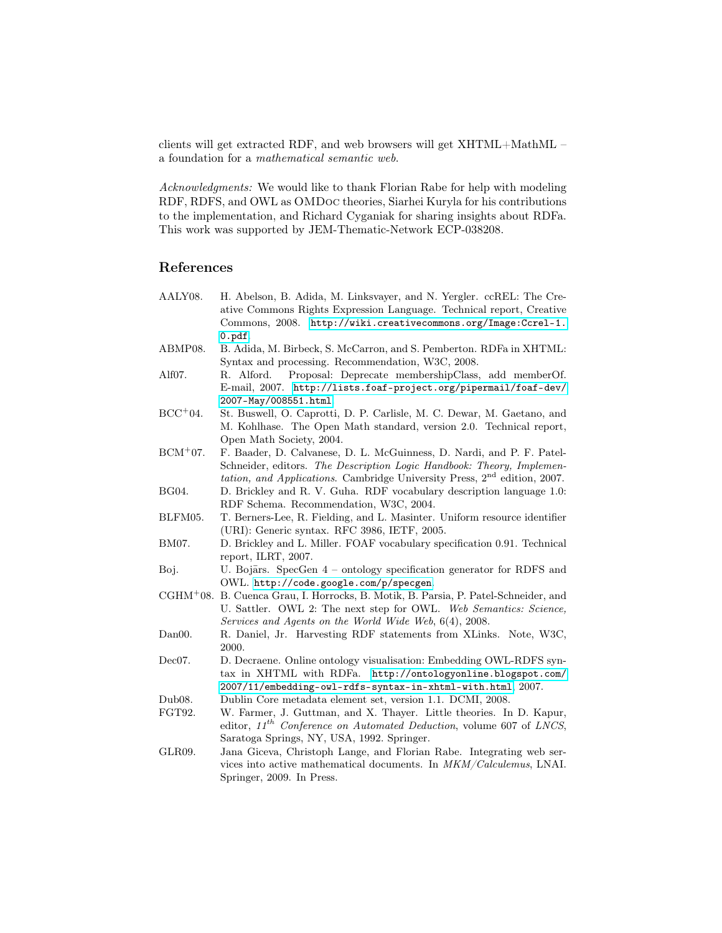clients will get extracted RDF, and web browsers will get XHTML+MathML – a foundation for a mathematical semantic web.

Acknowledgments: We would like to thank Florian Rabe for help with modeling RDF, RDFS, and OWL as OMDoc theories, Siarhei Kuryla for his contributions to the implementation, and Richard Cyganiak for sharing insights about RDFa. This work was supported by JEM-Thematic-Network ECP-038208.

## References

- <span id="page-14-11"></span>AALY08. H. Abelson, B. Adida, M. Linksvayer, and N. Yergler. ccREL: The Creative Commons Rights Expression Language. Technical report, Creative Commons, 2008. [http://wiki.creativecommons.org/Image:Ccrel-1.](http://wiki.creativecommons.org/Image:Ccrel-1.0.pdf) [0.pdf](http://wiki.creativecommons.org/Image:Ccrel-1.0.pdf).
- <span id="page-14-7"></span>ABMP08. B. Adida, M. Birbeck, S. McCarron, and S. Pemberton. RDFa in XHTML: Syntax and processing. Recommendation, W3C, 2008.
- <span id="page-14-4"></span>Alf07. R. Alford. Proposal: Deprecate membershipClass, add memberOf. E-mail, 2007. [http://lists.foaf-project.org/pipermail/foaf-dev/](http://lists.foaf-project.org/pipermail/foaf-dev/2007-May/008551.html) [2007-May/008551.html](http://lists.foaf-project.org/pipermail/foaf-dev/2007-May/008551.html).
- <span id="page-14-3"></span>BCC<sup>+</sup>04. St. Buswell, O. Caprotti, D. P. Carlisle, M. C. Dewar, M. Gaetano, and M. Kohlhase. The Open Math standard, version 2.0. Technical report, Open Math Society, 2004.
- <span id="page-14-1"></span>BCM<sup>+</sup>07. F. Baader, D. Calvanese, D. L. McGuinness, D. Nardi, and P. F. Patel-Schneider, editors. The Description Logic Handbook: Theory, Implementation, and Applications. Cambridge University Press, 2<sup>nd</sup> edition, 2007.
- <span id="page-14-0"></span>BG04. D. Brickley and R. V. Guha. RDF vocabulary description language 1.0: RDF Schema. Recommendation, W3C, 2004.
- <span id="page-14-6"></span>BLFM05. T. Berners-Lee, R. Fielding, and L. Masinter. Uniform resource identifier (URI): Generic syntax. RFC 3986, IETF, 2005.
- <span id="page-14-2"></span>BM07. D. Brickley and L. Miller. FOAF vocabulary specification 0.91. Technical report, ILRT, 2007.
- <span id="page-14-12"></span>Boj. U. Bojārs. SpecGen 4 – ontology specification generator for RDFS and OWL. <http://code.google.com/p/specgen>.
- <span id="page-14-8"></span>CGHM<sup>+</sup>08. B. Cuenca Grau, I. Horrocks, B. Motik, B. Parsia, P. Patel-Schneider, and U. Sattler. OWL 2: The next step for OWL. Web Semantics: Science, Services and Agents on the World Wide Web, 6(4), 2008.
- <span id="page-14-14"></span>Dan00. R. Daniel, Jr. Harvesting RDF statements from XLinks. Note, W3C, 2000.
- <span id="page-14-13"></span>Dec07. D. Decraene. Online ontology visualisation: Embedding OWL-RDFS syntax in XHTML with RDFa. [http://ontologyonline.blogspot.com/](http://ontologyonline.blogspot.com/2007/11/embedding-owl-rdfs-syntax-in-xhtml-with.html) [2007/11/embedding-owl-rdfs-syntax-in-xhtml-with.html](http://ontologyonline.blogspot.com/2007/11/embedding-owl-rdfs-syntax-in-xhtml-with.html), 2007.
- <span id="page-14-10"></span>Dub08. Dublin Core metadata element set, version 1.1. DCMI, 2008.
- <span id="page-14-5"></span>FGT92. W. Farmer, J. Guttman, and X. Thayer. Little theories. In D. Kapur, editor,  $11^{th}$  Conference on Automated Deduction, volume 607 of LNCS, Saratoga Springs, NY, USA, 1992. Springer.
- <span id="page-14-9"></span>GLR09. Jana Giceva, Christoph Lange, and Florian Rabe. Integrating web services into active mathematical documents. In MKM/Calculemus, LNAI. Springer, 2009. In Press.